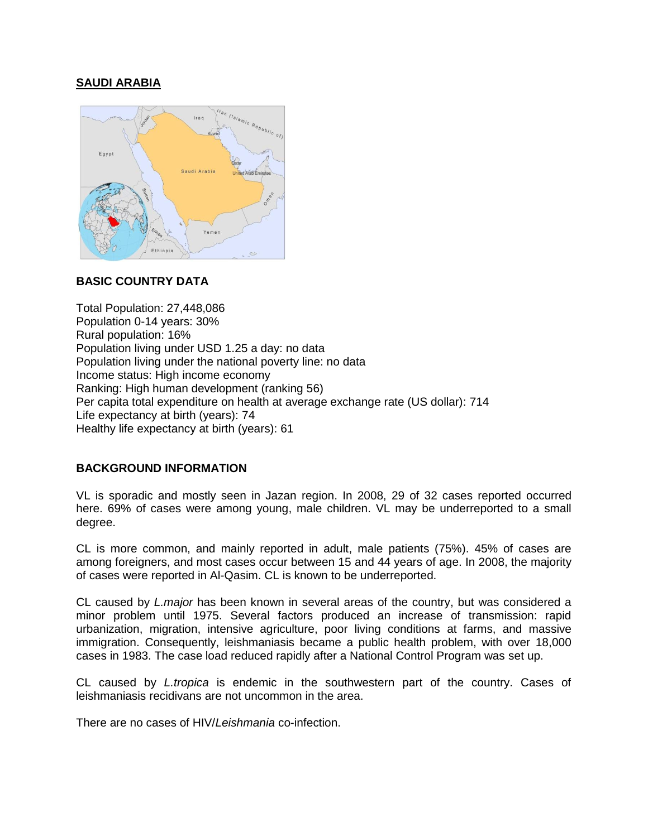# **SAUDI ARABIA**



# **BASIC COUNTRY DATA**

Total Population: 27,448,086 Population 0-14 years: 30% Rural population: 16% Population living under USD 1.25 a day: no data Population living under the national poverty line: no data Income status: High income economy Ranking: High human development (ranking 56) Per capita total expenditure on health at average exchange rate (US dollar): 714 Life expectancy at birth (years): 74 Healthy life expectancy at birth (years): 61

## **BACKGROUND INFORMATION**

VL is sporadic and mostly seen in Jazan region. In 2008, 29 of 32 cases reported occurred here. 69% of cases were among young, male children. VL may be underreported to a small degree.

CL is more common, and mainly reported in adult, male patients (75%). 45% of cases are among foreigners, and most cases occur between 15 and 44 years of age. In 2008, the majority of cases were reported in Al-Qasim. CL is known to be underreported.

CL caused by *L.major* has been known in several areas of the country, but was considered a minor problem until 1975. Several factors produced an increase of transmission: rapid urbanization, migration, intensive agriculture, poor living conditions at farms, and massive immigration. Consequently, leishmaniasis became a public health problem, with over 18,000 cases in 1983. The case load reduced rapidly after a National Control Program was set up.

CL caused by *L.tropica* is endemic in the southwestern part of the country. Cases of leishmaniasis recidivans are not uncommon in the area.

There are no cases of HIV/*Leishmania* co-infection.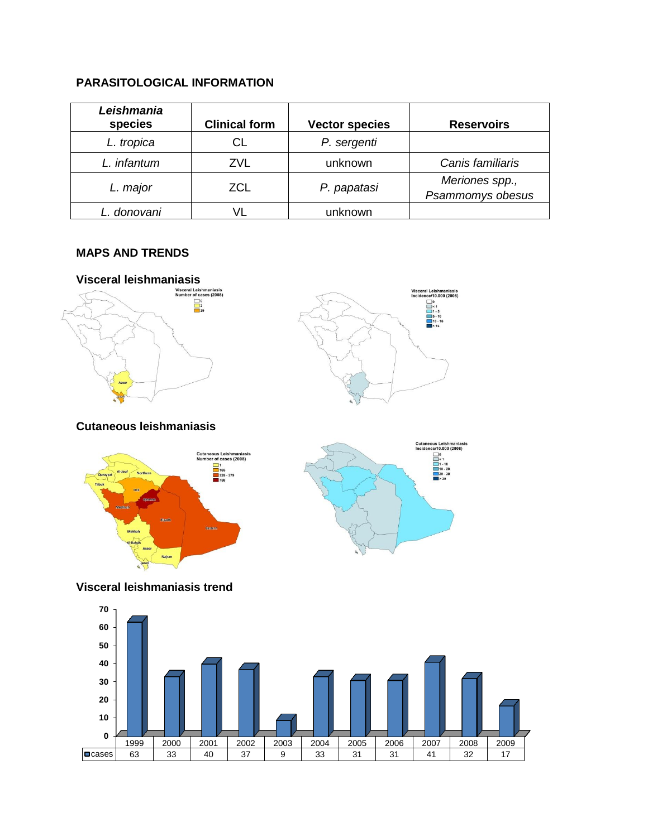# **PARASITOLOGICAL INFORMATION**

| Leishmania<br>species | <b>Clinical form</b> | <b>Vector species</b> | <b>Reservoirs</b>                  |
|-----------------------|----------------------|-----------------------|------------------------------------|
| L. tropica            | СL                   | P. sergenti           |                                    |
| L. infantum           | ZVL                  | unknown               | Canis familiaris                   |
| L. major              | ZCL                  | P. papatasi           | Meriones spp.,<br>Psammomys obesus |
| L. donovani           |                      | unknown               |                                    |

# **MAPS AND TRENDS**





**Cutaneous leishmaniasis**





**Visceral leishmaniasis trend**

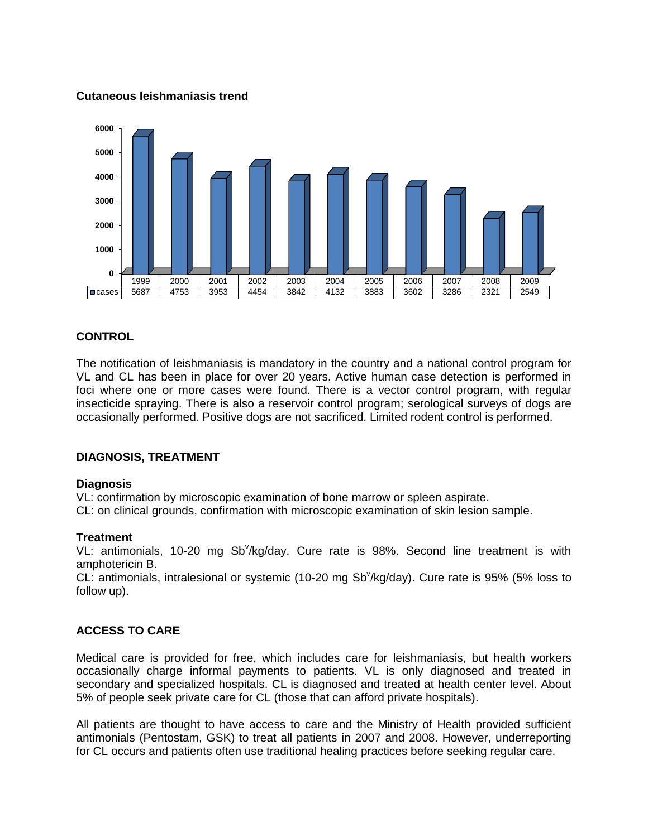## **Cutaneous leishmaniasis trend**



## **CONTROL**

The notification of leishmaniasis is mandatory in the country and a national control program for VL and CL has been in place for over 20 years. Active human case detection is performed in foci where one or more cases were found. There is a vector control program, with regular insecticide spraying. There is also a reservoir control program; serological surveys of dogs are occasionally performed. Positive dogs are not sacrificed. Limited rodent control is performed.

#### **DIAGNOSIS, TREATMENT**

#### **Diagnosis**

VL: confirmation by microscopic examination of bone marrow or spleen aspirate.

CL: on clinical grounds, confirmation with microscopic examination of skin lesion sample.

#### **Treatment**

VL: antimonials, 10-20 mg Sb<sup>v</sup>/kg/day. Cure rate is 98%. Second line treatment is with amphotericin B.

CL: antimonials, intralesional or systemic (10-20 mg Sb<sup>v</sup>/kg/day). Cure rate is 95% (5% loss to follow up).

## **ACCESS TO CARE**

Medical care is provided for free, which includes care for leishmaniasis, but health workers occasionally charge informal payments to patients. VL is only diagnosed and treated in secondary and specialized hospitals. CL is diagnosed and treated at health center level. About 5% of people seek private care for CL (those that can afford private hospitals).

All patients are thought to have access to care and the Ministry of Health provided sufficient antimonials (Pentostam, GSK) to treat all patients in 2007 and 2008. However, underreporting for CL occurs and patients often use traditional healing practices before seeking regular care.